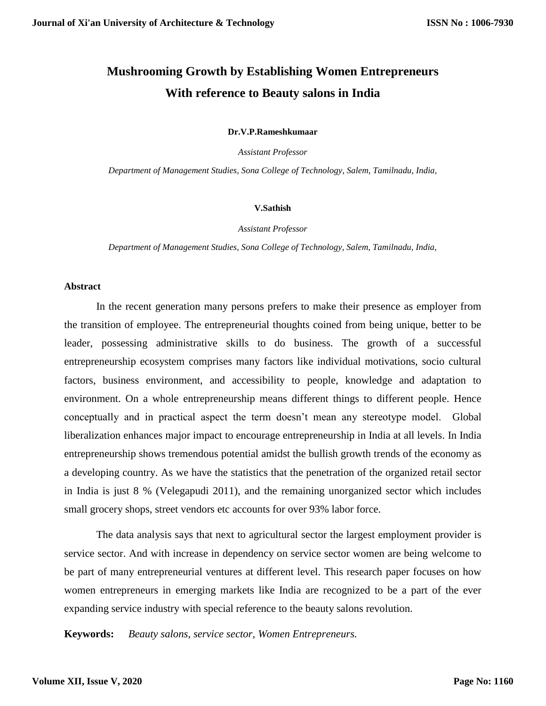# **Mushrooming Growth by Establishing Women Entrepreneurs With reference to Beauty salons in India**

**Dr.V.P.Rameshkumaar**

*Assistant Professor*

*Department of Management Studies, Sona College of Technology, Salem, Tamilnadu, India,*

#### **V.Sathish**

*Assistant Professor*

*Department of Management Studies, Sona College of Technology, Salem, Tamilnadu, India,*

#### **Abstract**

In the recent generation many persons prefers to make their presence as employer from the transition of employee. The entrepreneurial thoughts coined from being unique, better to be leader, possessing administrative skills to do business. The growth of a successful entrepreneurship ecosystem comprises many factors like individual motivations, socio cultural factors, business environment, and accessibility to people, knowledge and adaptation to environment. On a whole entrepreneurship means different things to different people. Hence conceptually and in practical aspect the term doesn't mean any stereotype model. Global liberalization enhances major impact to encourage entrepreneurship in India at all levels. In India entrepreneurship shows tremendous potential amidst the bullish growth trends of the economy as a developing country. As we have the statistics that the penetration of the organized retail sector in India is just 8 % (Velegapudi 2011), and the remaining unorganized sector which includes small grocery shops, street vendors etc accounts for over 93% labor force.

The data analysis says that next to agricultural sector the largest employment provider is service sector. And with increase in dependency on service sector women are being welcome to be part of many entrepreneurial ventures at different level. This research paper focuses on how women entrepreneurs in emerging markets like India are recognized to be a part of the ever expanding service industry with special reference to the beauty salons revolution.

**Keywords:** *Beauty salons, service sector, Women Entrepreneurs.*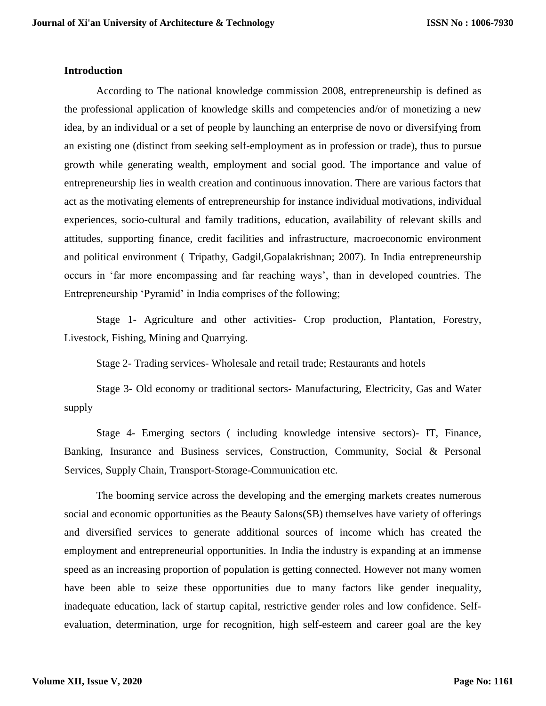## **Introduction**

According to The national knowledge commission 2008, entrepreneurship is defined as the professional application of knowledge skills and competencies and/or of monetizing a new idea, by an individual or a set of people by launching an enterprise de novo or diversifying from an existing one (distinct from seeking self-employment as in profession or trade), thus to pursue growth while generating wealth, employment and social good. The importance and value of entrepreneurship lies in wealth creation and continuous innovation. There are various factors that act as the motivating elements of entrepreneurship for instance individual motivations, individual experiences, socio-cultural and family traditions, education, availability of relevant skills and attitudes, supporting finance, credit facilities and infrastructure, macroeconomic environment and political environment ( Tripathy, Gadgil,Gopalakrishnan; 2007). In India entrepreneurship occurs in 'far more encompassing and far reaching ways', than in developed countries. The Entrepreneurship 'Pyramid' in India comprises of the following;

Stage 1- Agriculture and other activities- Crop production, Plantation, Forestry, Livestock, Fishing, Mining and Quarrying.

Stage 2- Trading services- Wholesale and retail trade; Restaurants and hotels

Stage 3- Old economy or traditional sectors- Manufacturing, Electricity, Gas and Water supply

Stage 4- Emerging sectors ( including knowledge intensive sectors)- IT, Finance, Banking, Insurance and Business services, Construction, Community, Social & Personal Services, Supply Chain, Transport-Storage-Communication etc.

The booming service across the developing and the emerging markets creates numerous social and economic opportunities as the Beauty Salons(SB) themselves have variety of offerings and diversified services to generate additional sources of income which has created the employment and entrepreneurial opportunities. In India the industry is expanding at an immense speed as an increasing proportion of population is getting connected. However not many women have been able to seize these opportunities due to many factors like gender inequality, inadequate education, lack of startup capital, restrictive gender roles and low confidence. Selfevaluation, determination, urge for recognition, high self-esteem and career goal are the key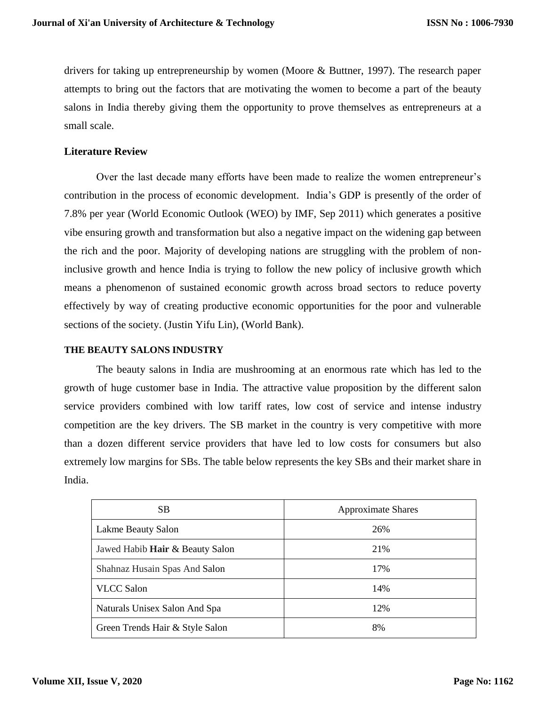drivers for taking up entrepreneurship by women (Moore & Buttner, 1997). The research paper attempts to bring out the factors that are motivating the women to become a part of the beauty salons in India thereby giving them the opportunity to prove themselves as entrepreneurs at a small scale.

# **Literature Review**

Over the last decade many efforts have been made to realize the women entrepreneur's contribution in the process of economic development. India's GDP is presently of the order of 7.8% per year (World Economic Outlook (WEO) by IMF, Sep 2011) which generates a positive vibe ensuring growth and transformation but also a negative impact on the widening gap between the rich and the poor. Majority of developing nations are struggling with the problem of noninclusive growth and hence India is trying to follow the new policy of inclusive growth which means a phenomenon of sustained economic growth across broad sectors to reduce poverty effectively by way of creating productive economic opportunities for the poor and vulnerable sections of the society. (Justin Yifu Lin), (World Bank).

# **THE BEAUTY SALONS INDUSTRY**

The beauty salons in India are mushrooming at an enormous rate which has led to the growth of huge customer base in India. The attractive value proposition by the different salon service providers combined with low tariff rates, low cost of service and intense industry competition are the key drivers. The SB market in the country is very competitive with more than a dozen different service providers that have led to low costs for consumers but also extremely low margins for SBs. The table below represents the key SBs and their market share in India.

| SB.                                    | <b>Approximate Shares</b> |
|----------------------------------------|---------------------------|
| Lakme Beauty Salon                     | 26%                       |
| Jawed Habib <b>Hair</b> & Beauty Salon | 21%                       |
| Shahnaz Husain Spas And Salon          | 17%                       |
| <b>VLCC</b> Salon                      | 14%                       |
| Naturals Unisex Salon And Spa          | 12%                       |
| Green Trends Hair & Style Salon        | 8%                        |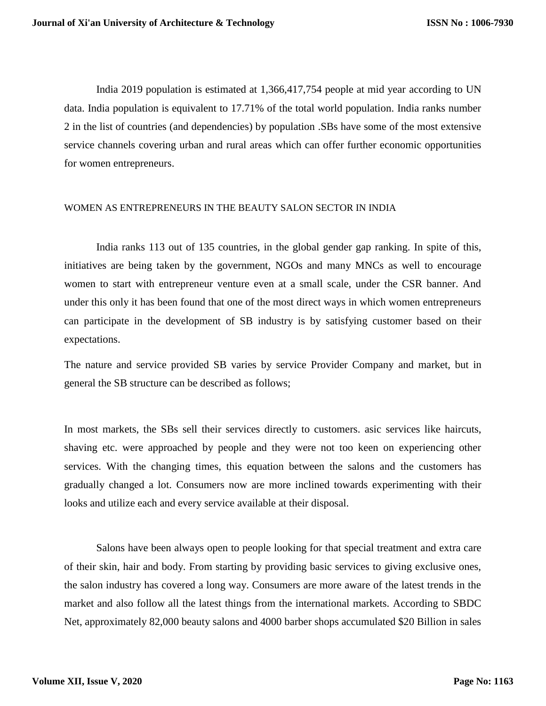India 2019 population is estimated at 1,366,417,754 people at mid year according to UN data. India population is equivalent to 17.71% of the total world population. India ranks number 2 in the list of countries (and dependencies) by population .SBs have some of the most extensive service channels covering urban and rural areas which can offer further economic opportunities for women entrepreneurs.

### WOMEN AS ENTREPRENEURS IN THE BEAUTY SALON SECTOR IN INDIA

India ranks 113 out of 135 countries, in the global gender gap ranking. In spite of this, initiatives are being taken by the government, NGOs and many MNCs as well to encourage women to start with entrepreneur venture even at a small scale, under the CSR banner. And under this only it has been found that one of the most direct ways in which women entrepreneurs can participate in the development of SB industry is by satisfying customer based on their expectations.

The nature and service provided SB varies by service Provider Company and market, but in general the SB structure can be described as follows;

In most markets, the SBs sell their services directly to customers. asic services like haircuts, shaving etc. were approached by people and they were not too keen on experiencing other services. With the changing times, this equation between the salons and the customers has gradually changed a lot. Consumers now are more inclined towards experimenting with their looks and utilize each and every service available at their disposal.

Salons have been always open to people looking for that special treatment and extra care of their skin, hair and body. From starting by providing basic services to giving exclusive ones, the salon industry has covered a long way. Consumers are more aware of the latest trends in the market and also follow all the latest things from the international markets. According to SBDC Net, approximately 82,000 beauty salons and 4000 barber shops accumulated \$20 Billion in sales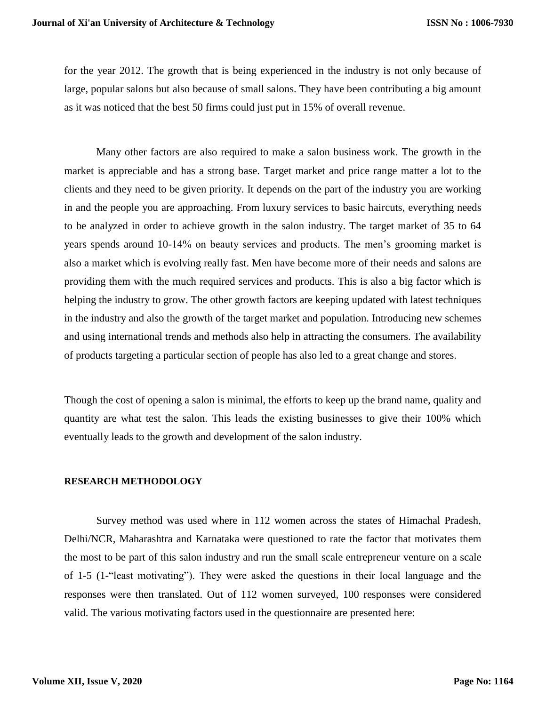for the year 2012. The growth that is being experienced in the industry is not only because of large, popular salons but also because of small salons. They have been contributing a big amount as it was noticed that the best 50 firms could just put in 15% of overall revenue.

Many other factors are also required to make a salon business work. The growth in the market is appreciable and has a strong base. Target market and price range matter a lot to the clients and they need to be given priority. It depends on the part of the industry you are working in and the people you are approaching. From luxury services to basic haircuts, everything needs to be analyzed in order to achieve growth in the salon industry. The target market of 35 to 64 years spends around 10-14% on beauty services and products. The men's grooming market is also a market which is evolving really fast. Men have become more of their needs and salons are providing them with the much required services and products. This is also a big factor which is helping the industry to grow. The other growth factors are keeping updated with latest techniques in the industry and also the growth of the target market and population. Introducing new schemes and using international trends and methods also help in attracting the consumers. The availability of products targeting a particular section of people has also led to a great change and stores.

Though the cost of opening a salon is minimal, the efforts to keep up the brand name, quality and quantity are what test the salon. This leads the existing businesses to give their 100% which eventually leads to the growth and development of the salon industry.

#### **RESEARCH METHODOLOGY**

Survey method was used where in 112 women across the states of Himachal Pradesh, Delhi/NCR, Maharashtra and Karnataka were questioned to rate the factor that motivates them the most to be part of this salon industry and run the small scale entrepreneur venture on a scale of 1-5 (1-"least motivating"). They were asked the questions in their local language and the responses were then translated. Out of 112 women surveyed, 100 responses were considered valid. The various motivating factors used in the questionnaire are presented here: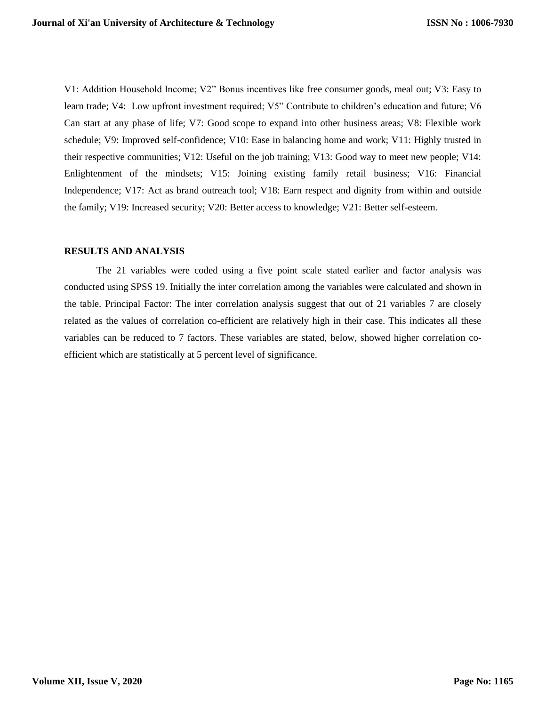V1: Addition Household Income; V2" Bonus incentives like free consumer goods, meal out; V3: Easy to learn trade; V4: Low upfront investment required; V5" Contribute to children's education and future; V6 Can start at any phase of life; V7: Good scope to expand into other business areas; V8: Flexible work schedule; V9: Improved self-confidence; V10: Ease in balancing home and work; V11: Highly trusted in their respective communities; V12: Useful on the job training; V13: Good way to meet new people; V14: Enlightenment of the mindsets; V15: Joining existing family retail business; V16: Financial Independence; V17: Act as brand outreach tool; V18: Earn respect and dignity from within and outside the family; V19: Increased security; V20: Better access to knowledge; V21: Better self-esteem.

#### **RESULTS AND ANALYSIS**

The 21 variables were coded using a five point scale stated earlier and factor analysis was conducted using SPSS 19. Initially the inter correlation among the variables were calculated and shown in the table. Principal Factor: The inter correlation analysis suggest that out of 21 variables 7 are closely related as the values of correlation co-efficient are relatively high in their case. This indicates all these variables can be reduced to 7 factors. These variables are stated, below, showed higher correlation coefficient which are statistically at 5 percent level of significance.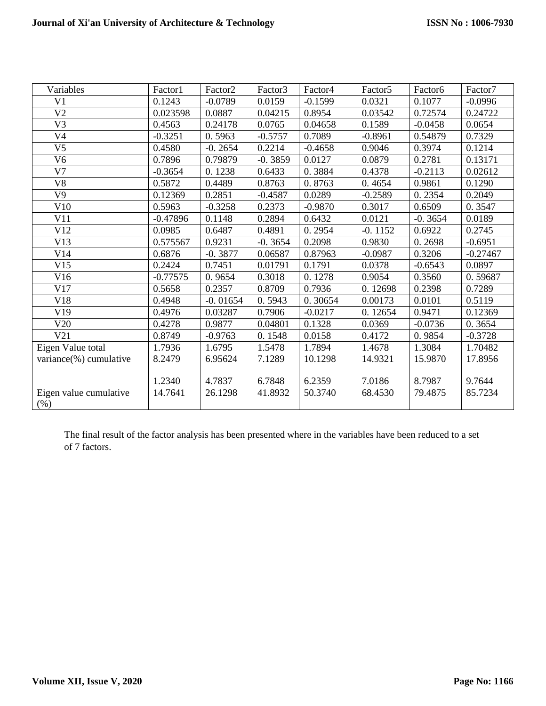| Variables              | Factor1    | Factor <sub>2</sub> | Factor3   | Factor4   | Factor <sub>5</sub> | Factor <sub>6</sub> | Factor7    |
|------------------------|------------|---------------------|-----------|-----------|---------------------|---------------------|------------|
| V <sub>1</sub>         | 0.1243     | $-0.0789$           | 0.0159    | $-0.1599$ | 0.0321              | 0.1077              | $-0.0996$  |
| V <sub>2</sub>         | 0.023598   | 0.0887              | 0.04215   | 0.8954    | 0.03542             | 0.72574             | 0.24722    |
| V <sub>3</sub>         | 0.4563     | 0.24178             | 0.0765    | 0.04658   | 0.1589              | $-0.0458$           | 0.0654     |
| V4                     | $-0.3251$  | 0.5963              | $-0.5757$ | 0.7089    | $-0.8961$           | 0.54879             | 0.7329     |
| V <sub>5</sub>         | 0.4580     | $-0.2654$           | 0.2214    | $-0.4658$ | 0.9046              | 0.3974              | 0.1214     |
| V <sub>6</sub>         | 0.7896     | 0.79879             | $-0.3859$ | 0.0127    | 0.0879              | 0.2781              | 0.13171    |
| V <sub>7</sub>         | $-0.3654$  | 0.1238              | 0.6433    | 0.3884    | 0.4378              | $-0.2113$           | 0.02612    |
| V8                     | 0.5872     | 0.4489              | 0.8763    | 0.8763    | 0.4654              | 0.9861              | 0.1290     |
| V9                     | 0.12369    | 0.2851              | $-0.4587$ | 0.0289    | $-0.2589$           | 0.2354              | 0.2049     |
| V10                    | 0.5963     | $-0.3258$           | 0.2373    | $-0.9870$ | 0.3017              | 0.6509              | 0.3547     |
| V11                    | $-0.47896$ | 0.1148              | 0.2894    | 0.6432    | 0.0121              | $-0.3654$           | 0.0189     |
| V12                    | 0.0985     | 0.6487              | 0.4891    | 0.2954    | $-0.1152$           | 0.6922              | 0.2745     |
| V13                    | 0.575567   | 0.9231              | $-0.3654$ | 0.2098    | 0.9830              | 0.2698              | $-0.6951$  |
| V14                    | 0.6876     | $-0.3877$           | 0.06587   | 0.87963   | $-0.0987$           | 0.3206              | $-0.27467$ |
| V15                    | 0.2424     | 0.7451              | 0.01791   | 0.1791    | 0.0378              | $-0.6543$           | 0.0897     |
| V16                    | $-0.77575$ | 0.9654              | 0.3018    | 0.1278    | 0.9054              | 0.3560              | 0.59687    |
| V17                    | 0.5658     | 0.2357              | 0.8709    | 0.7936    | 0.12698             | 0.2398              | 0.7289     |
| V18                    | 0.4948     | $-0.01654$          | 0.5943    | 0.30654   | 0.00173             | 0.0101              | 0.5119     |
| V19                    | 0.4976     | 0.03287             | 0.7906    | $-0.0217$ | 0.12654             | 0.9471              | 0.12369    |
| V20                    | 0.4278     | 0.9877              | 0.04801   | 0.1328    | 0.0369              | $-0.0736$           | 0.3654     |
| V21                    | 0.8749     | $-0.9763$           | 0.1548    | 0.0158    | 0.4172              | 0.9854              | $-0.3728$  |
| Eigen Value total      | 1.7936     | 1.6795              | 1.5478    | 1.7894    | 1.4678              | 1.3084              | 1.70482    |
| variance(%) cumulative | 8.2479     | 6.95624             | 7.1289    | 10.1298   | 14.9321             | 15.9870             | 17.8956    |
|                        |            |                     |           |           |                     |                     |            |
|                        | 1.2340     | 4.7837              | 6.7848    | 6.2359    | 7.0186              | 8.7987              | 9.7644     |
| Eigen value cumulative | 14.7641    | 26.1298             | 41.8932   | 50.3740   | 68.4530             | 79.4875             | 85.7234    |
| (%)                    |            |                     |           |           |                     |                     |            |

The final result of the factor analysis has been presented where in the variables have been reduced to a set of 7 factors.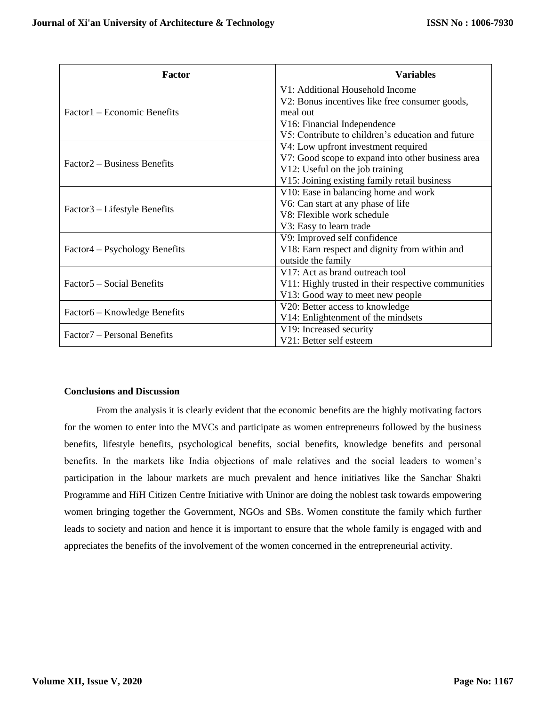| <b>Factor</b>                           | Variables                                           |  |  |  |  |
|-----------------------------------------|-----------------------------------------------------|--|--|--|--|
|                                         | V1: Additional Household Income                     |  |  |  |  |
|                                         | V2: Bonus incentives like free consumer goods,      |  |  |  |  |
| Factor1 – Economic Benefits             | meal out                                            |  |  |  |  |
|                                         | V16: Financial Independence                         |  |  |  |  |
|                                         | V5: Contribute to children's education and future   |  |  |  |  |
| Factor2 – Business Benefits             | V4: Low upfront investment required                 |  |  |  |  |
|                                         | V7: Good scope to expand into other business area   |  |  |  |  |
|                                         | V12: Useful on the job training                     |  |  |  |  |
|                                         | V15: Joining existing family retail business        |  |  |  |  |
| Factor3 – Lifestyle Benefits            | V10: Ease in balancing home and work                |  |  |  |  |
|                                         | V6: Can start at any phase of life                  |  |  |  |  |
|                                         | V8: Flexible work schedule                          |  |  |  |  |
|                                         | V3: Easy to learn trade                             |  |  |  |  |
| Factor4 – Psychology Benefits           | V9: Improved self confidence                        |  |  |  |  |
|                                         | V18: Earn respect and dignity from within and       |  |  |  |  |
|                                         | outside the family                                  |  |  |  |  |
| Factor 5 – Social Benefits              | V17: Act as brand outreach tool                     |  |  |  |  |
|                                         | V11: Highly trusted in their respective communities |  |  |  |  |
|                                         | V13: Good way to meet new people                    |  |  |  |  |
| Factor6 – Knowledge Benefits            | V20: Better access to knowledge                     |  |  |  |  |
|                                         | V14: Enlightenment of the mindsets                  |  |  |  |  |
| Factor <sub>7</sub> – Personal Benefits | V19: Increased security                             |  |  |  |  |
|                                         | V21: Better self esteem                             |  |  |  |  |

#### **Conclusions and Discussion**

From the analysis it is clearly evident that the economic benefits are the highly motivating factors for the women to enter into the MVCs and participate as women entrepreneurs followed by the business benefits, lifestyle benefits, psychological benefits, social benefits, knowledge benefits and personal benefits. In the markets like India objections of male relatives and the social leaders to women's participation in the labour markets are much prevalent and hence initiatives like the Sanchar Shakti Programme and HiH Citizen Centre Initiative with Uninor are doing the noblest task towards empowering women bringing together the Government, NGOs and SBs. Women constitute the family which further leads to society and nation and hence it is important to ensure that the whole family is engaged with and appreciates the benefits of the involvement of the women concerned in the entrepreneurial activity.